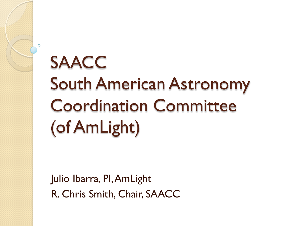# SAACC South American Astronomy Coordination Committee (of AmLight)

Julio Ibarra, PI, AmLight R. Chris Smith, Chair, SAACC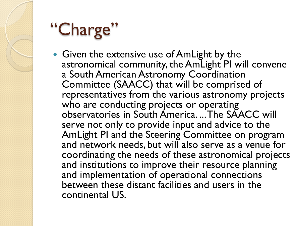# "Charge"

• Given the extensive use of AmLight by the astronomical community, the AmLight PI will convene a South American Astronomy Coordination Committee (SAACC) that will be comprised of representatives from the various astronomy projects who are conducting projects or operating observatories in South America. ... The SAACC will serve not only to provide input and advice to the AmLight PI and the Steering Committee on program and network needs, but will also serve as a venue for coordinating the needs of these astronomical projects and institutions to improve their resource planning and implementation of operational connections between these distant facilities and users in the continental US.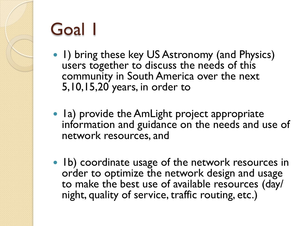### Goal 1

- 1) bring these key US Astronomy (and Physics) users together to discuss the needs of this community in South America over the next 5,10,15,20 years, in order to
- Ia) provide the AmLight project appropriate information and guidance on the needs and use of network resources, and
- Ib) coordinate usage of the network resources in order to optimize the network design and usage to make the best use of available resources (day/ night, quality of service, traffic routing, etc.)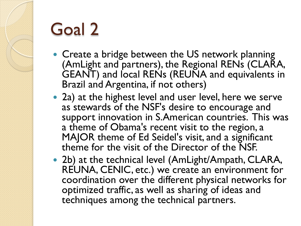# Goal 2

- Create a bridge between the US network planning (AmLight and partners), the Regional RENs (CLARA, GEANT) and local RENs (REUNA and equivalents in Brazil and Argentina, if not others)
- 2a) at the highest level and user level, here we serve as stewards of the NSF's desire to encourage and support innovation in S.American countries. This was a theme of Obama's recent visit to the region, a MAJOR theme of Ed Seidel's visit, and a significant theme for the visit of the Director of the NSF.
- 2b) at the technical level (AmLight/Ampath, CLARA, REUNA, CENIC, etc.) we create an environment for coordination over the different physical networks for optimized traffic, as well as sharing of ideas and techniques among the technical partners.